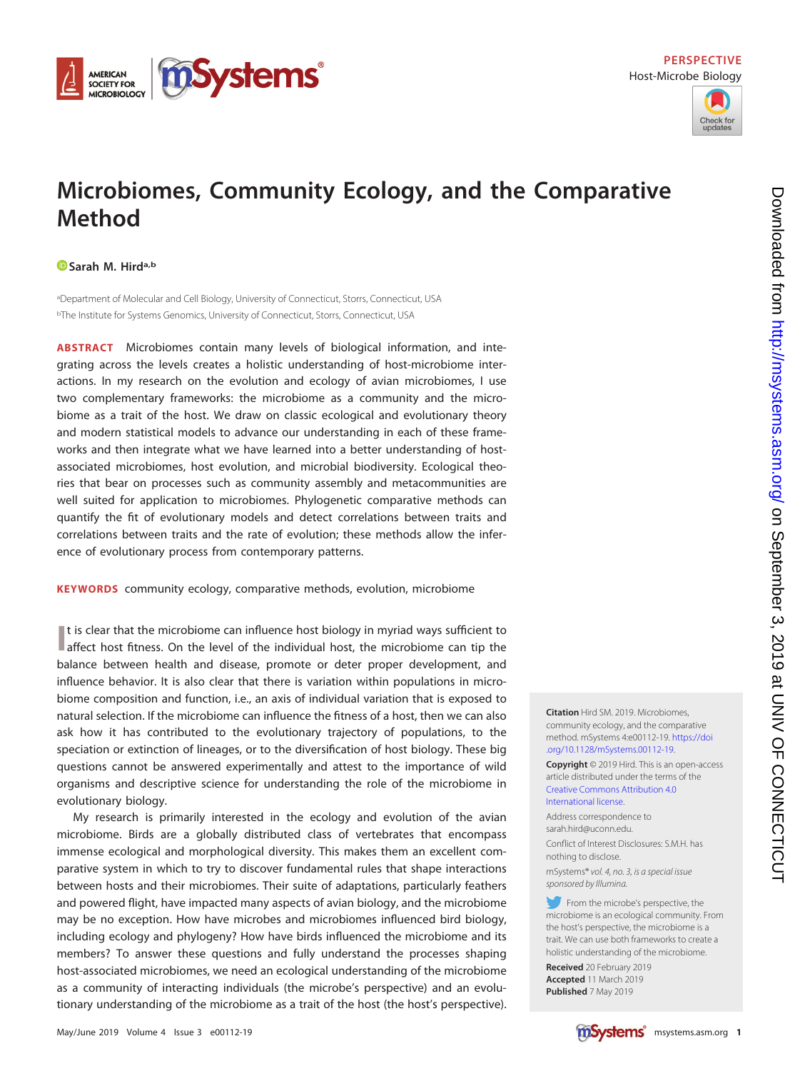



# **Microbiomes, Community Ecology, and the Comparative Method**

## **[Sarah M. Hirda](https://orcid.org/0000-0002-1998-9387),b**

aDepartment of Molecular and Cell Biology, University of Connecticut, Storrs, Connecticut, USA <sup>b</sup>The Institute for Systems Genomics, University of Connecticut, Storrs, Connecticut, USA

**ABSTRACT** Microbiomes contain many levels of biological information, and integrating across the levels creates a holistic understanding of host-microbiome interactions. In my research on the evolution and ecology of avian microbiomes, I use two complementary frameworks: the microbiome as a community and the microbiome as a trait of the host. We draw on classic ecological and evolutionary theory and modern statistical models to advance our understanding in each of these frameworks and then integrate what we have learned into a better understanding of hostassociated microbiomes, host evolution, and microbial biodiversity. Ecological theories that bear on processes such as community assembly and metacommunities are well suited for application to microbiomes. Phylogenetic comparative methods can quantify the fit of evolutionary models and detect correlations between traits and correlations between traits and the rate of evolution; these methods allow the inference of evolutionary process from contemporary patterns.

**KEYWORDS** community ecology, comparative methods, evolution, microbiome

If is clear that the microbiome can influence host biology in myriad ways sufficient to affect host fitness. On the level of the individual host, the microbiome can tip the It is clear that the microbiome can influence host biology in myriad ways sufficient to balance between health and disease, promote or deter proper development, and influence behavior. It is also clear that there is variation within populations in microbiome composition and function, i.e., an axis of individual variation that is exposed to natural selection. If the microbiome can influence the fitness of a host, then we can also ask how it has contributed to the evolutionary trajectory of populations, to the speciation or extinction of lineages, or to the diversification of host biology. These big questions cannot be answered experimentally and attest to the importance of wild organisms and descriptive science for understanding the role of the microbiome in evolutionary biology.

My research is primarily interested in the ecology and evolution of the avian microbiome. Birds are a globally distributed class of vertebrates that encompass immense ecological and morphological diversity. This makes them an excellent comparative system in which to try to discover fundamental rules that shape interactions between hosts and their microbiomes. Their suite of adaptations, particularly feathers and powered flight, have impacted many aspects of avian biology, and the microbiome may be no exception. How have microbes and microbiomes influenced bird biology, including ecology and phylogeny? How have birds influenced the microbiome and its members? To answer these questions and fully understand the processes shaping host-associated microbiomes, we need an ecological understanding of the microbiome as a community of interacting individuals (the microbe's perspective) and an evolutionary understanding of the microbiome as a trait of the host (the host's perspective).

community ecology, and the comparative method. mSystems 4:e00112-19. [https://doi](https://doi.org/10.1128/mSystems.00112-19) [.org/10.1128/mSystems.00112-19.](https://doi.org/10.1128/mSystems.00112-19) **Copyright** © 2019 Hird. This is an open-access

**Citation** Hird SM. 2019. Microbiomes,

article distributed under the terms of the [Creative Commons Attribution 4.0](https://creativecommons.org/licenses/by/4.0/) [International](https://creativecommons.org/licenses/by/4.0/) license.

Address correspondence to [sarah.hird@uconn.edu.](mailto:sarah.hird@uconn.edu) Conflict of Interest Disclosures: S.M.H. has nothing to disclose.

mSystems® vol. 4, no. 3, is a special issue sponsored by Illumina.

From the microbe's perspective, the microbiome is an ecological community. From the host's perspective, the microbiome is a trait. We can use both frameworks to create a holistic understanding of the microbiome.

**Received** 20 February 2019 **Accepted** 11 March 2019 **Published** 7 May 2019

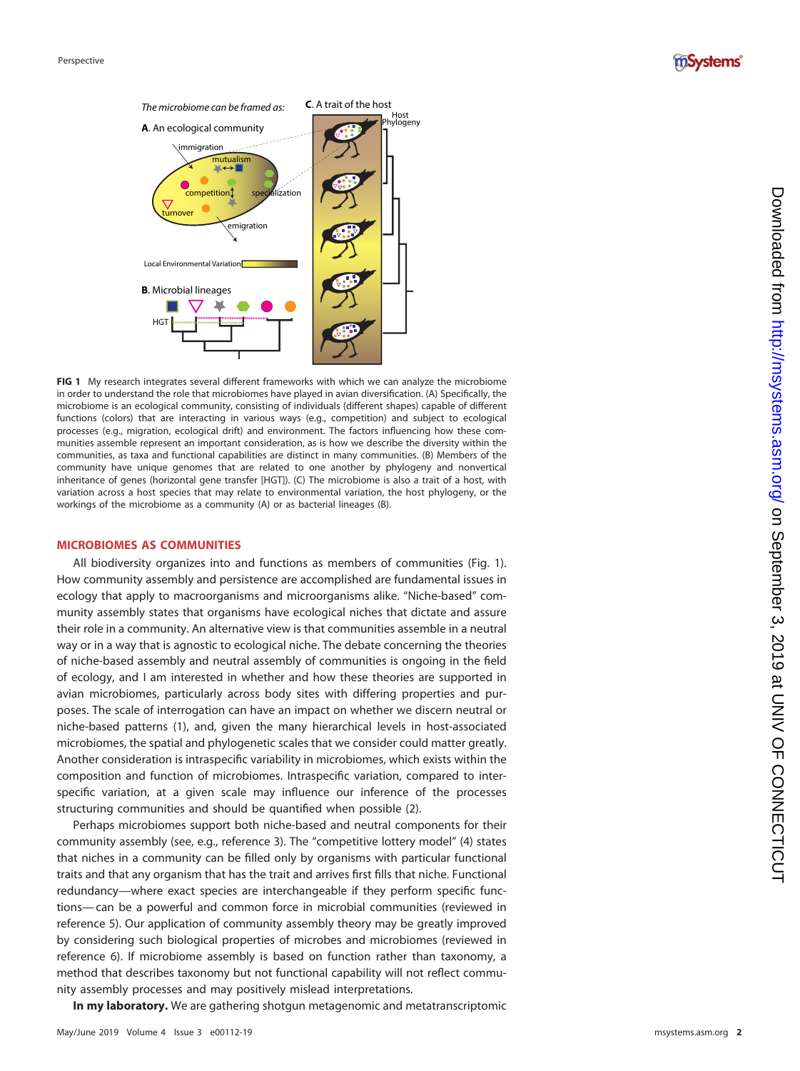



<span id="page-1-0"></span>**FIG 1** My research integrates several different frameworks with which we can analyze the microbiome in order to understand the role that microbiomes have played in avian diversification. (A) Specifically, the microbiome is an ecological community, consisting of individuals (different shapes) capable of different functions (colors) that are interacting in various ways (e.g., competition) and subject to ecological processes (e.g., migration, ecological drift) and environment. The factors influencing how these communities assemble represent an important consideration, as is how we describe the diversity within the communities, as taxa and functional capabilities are distinct in many communities. (B) Members of the community have unique genomes that are related to one another by phylogeny and nonvertical inheritance of genes (horizontal gene transfer [HGT]). (C) The microbiome is also a trait of a host, with variation across a host species that may relate to environmental variation, the host phylogeny, or the workings of the microbiome as a community (A) or as bacterial lineages (B).

#### **MICROBIOMES AS COMMUNITIES**

All biodiversity organizes into and functions as members of communities [\(Fig. 1\)](#page-1-0). How community assembly and persistence are accomplished are fundamental issues in ecology that apply to macroorganisms and microorganisms alike. "Niche-based" community assembly states that organisms have ecological niches that dictate and assure their role in a community. An alternative view is that communities assemble in a neutral way or in a way that is agnostic to ecological niche. The debate concerning the theories of niche-based assembly and neutral assembly of communities is ongoing in the field of ecology, and I am interested in whether and how these theories are supported in avian microbiomes, particularly across body sites with differing properties and purposes. The scale of interrogation can have an impact on whether we discern neutral or niche-based patterns ( [1\)](#page-4-0), and, given the many hierarchical levels in host-associated microbiomes, the spatial and phylogenetic scales that we consider could matter greatly. Another consideration is intraspecific variability in microbiomes, which exists within the composition and function of microbiomes. Intraspecific variation, compared to interspecific variation, at a given scale may influence our inference of the processes structuring communities and should be quantified when possible ( [2\)](#page-4-1).

Perhaps microbiomes support both niche-based and neutral components for their community assembly (see, e.g., reference [3\)](#page-4-2). The "competitive lottery model" ( [4\)](#page-4-3) states that niches in a community can be filled only by organisms with particular functional traits and that any organism that has the trait and arrives first fills that niche. Functional redundancy—where exact species are interchangeable if they perform specific functions— can be a powerful and common force in microbial communities (reviewed in reference [5\)](#page-4-4). Our application of community assembly theory may be greatly improved by considering such biological properties of microbes and microbiomes (reviewed in reference [6\)](#page-4-5). If microbiome assembly is based on function rather than taxonomy, a method that describes taxonomy but not functional capability will not reflect community assembly processes and may positively mislead interpretations.

**In my laboratory.** We are gathering shotgun metagenomic and metatranscriptomic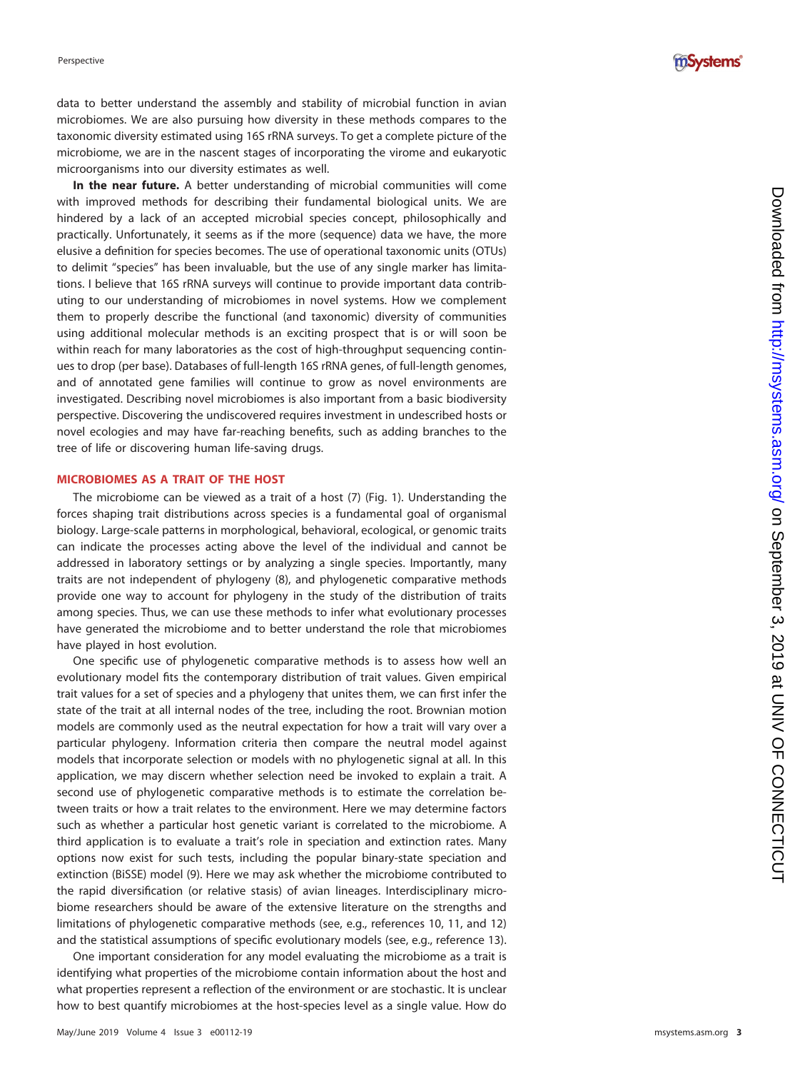

data to better understand the assembly and stability of microbial function in avian microbiomes. We are also pursuing how diversity in these methods compares to the taxonomic diversity estimated using 16S rRNA surveys. To get a complete picture of the microbiome, we are in the nascent stages of incorporating the virome and eukaryotic microorganisms into our diversity estimates as well.

**In the near future.** A better understanding of microbial communities will come with improved methods for describing their fundamental biological units. We are hindered by a lack of an accepted microbial species concept, philosophically and practically. Unfortunately, it seems as if the more (sequence) data we have, the more elusive a definition for species becomes. The use of operational taxonomic units (OTUs) to delimit "species" has been invaluable, but the use of any single marker has limitations. I believe that 16S rRNA surveys will continue to provide important data contributing to our understanding of microbiomes in novel systems. How we complement them to properly describe the functional (and taxonomic) diversity of communities using additional molecular methods is an exciting prospect that is or will soon be within reach for many laboratories as the cost of high-throughput sequencing continues to drop (per base). Databases of full-length 16S rRNA genes, of full-length genomes, and of annotated gene families will continue to grow as novel environments are investigated. Describing novel microbiomes is also important from a basic biodiversity perspective. Discovering the undiscovered requires investment in undescribed hosts or novel ecologies and may have far-reaching benefits, such as adding branches to the tree of life or discovering human life-saving drugs.

### **MICROBIOMES AS A TRAIT OF THE HOST**

The microbiome can be viewed as a trait of a host ( [7\)](#page-4-6) [\(Fig. 1\)](#page-1-0). Understanding the forces shaping trait distributions across species is a fundamental goal of organismal biology. Large-scale patterns in morphological, behavioral, ecological, or genomic traits can indicate the processes acting above the level of the individual and cannot be addressed in laboratory settings or by analyzing a single species. Importantly, many traits are not independent of phylogeny ( [8\)](#page-4-7), and phylogenetic comparative methods provide one way to account for phylogeny in the study of the distribution of traits among species. Thus, we can use these methods to infer what evolutionary processes have generated the microbiome and to better understand the role that microbiomes have played in host evolution.

One specific use of phylogenetic comparative methods is to assess how well an evolutionary model fits the contemporary distribution of trait values. Given empirical trait values for a set of species and a phylogeny that unites them, we can first infer the state of the trait at all internal nodes of the tree, including the root. Brownian motion models are commonly used as the neutral expectation for how a trait will vary over a particular phylogeny. Information criteria then compare the neutral model against models that incorporate selection or models with no phylogenetic signal at all. In this application, we may discern whether selection need be invoked to explain a trait. A second use of phylogenetic comparative methods is to estimate the correlation between traits or how a trait relates to the environment. Here we may determine factors such as whether a particular host genetic variant is correlated to the microbiome. A third application is to evaluate a trait's role in speciation and extinction rates. Many options now exist for such tests, including the popular binary-state speciation and extinction (BiSSE) model ( [9\)](#page-4-8). Here we may ask whether the microbiome contributed to the rapid diversification (or relative stasis) of avian lineages. Interdisciplinary microbiome researchers should be aware of the extensive literature on the strengths and limitations of phylogenetic comparative methods (see, e.g., references [10](#page-4-9) , [11,](#page-4-10) and [12](#page-4-11) ) and the statistical assumptions of specific evolutionary models (see, e.g., reference [13\)](#page-4-12).

One important consideration for any model evaluating the microbiome as a trait is identifying what properties of the microbiome contain information about the host and what properties represent a reflection of the environment or are stochastic. It is unclear how to best quantify microbiomes at the host-species level as a single value. How do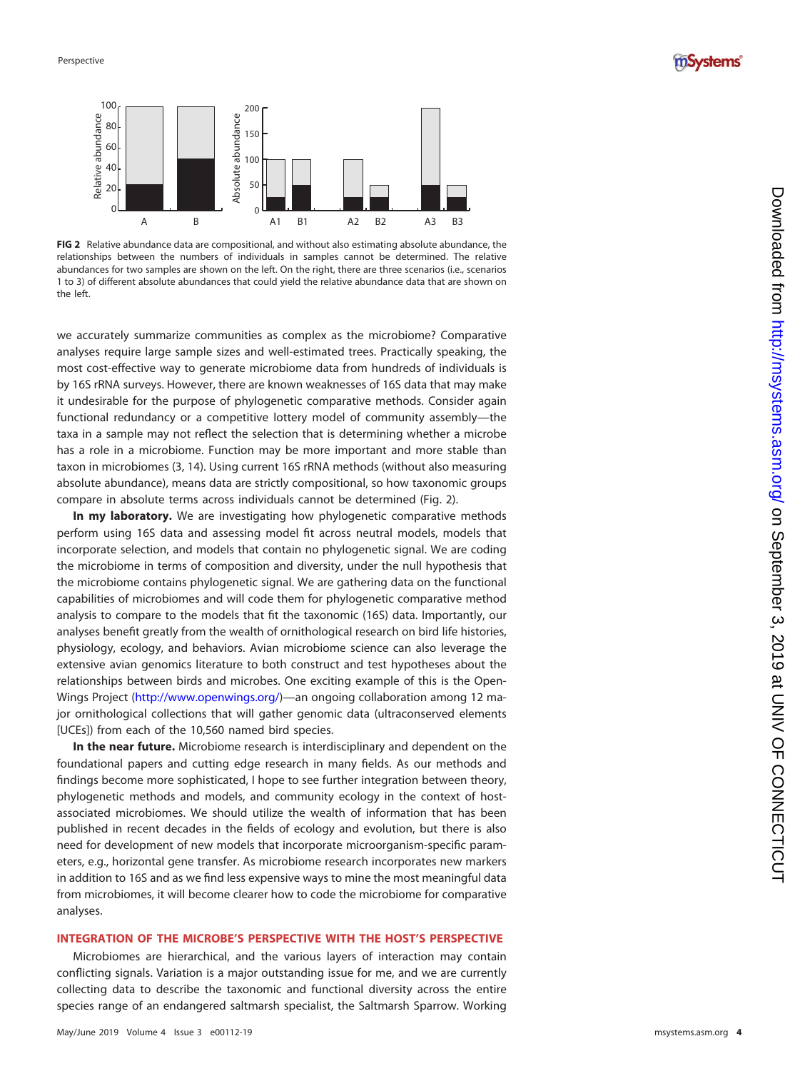



<span id="page-3-0"></span>**FIG 2** Relative abundance data are compositional, and without also estimating absolute abundance, the relationships between the numbers of individuals in samples cannot be determined. The relative abundances for two samples are shown on the left. On the right, there are three scenarios (i.e., scenarios 1 to 3) of different absolute abundances that could yield the relative abundance data that are shown on the left.

we accurately summarize communities as complex as the microbiome? Comparative analyses require large sample sizes and well-estimated trees. Practically speaking, the most cost-effective way to generate microbiome data from hundreds of individuals is by 16S rRNA surveys. However, there are known weaknesses of 16S data that may make it undesirable for the purpose of phylogenetic comparative methods. Consider again functional redundancy or a competitive lottery model of community assembly—the taxa in a sample may not reflect the selection that is determining whether a microbe has a role in a microbiome. Function may be more important and more stable than taxon in microbiomes ( [3](#page-4-2) , [14\)](#page-4-13). Using current 16S rRNA methods (without also measuring absolute abundance), means data are strictly compositional, so how taxonomic groups compare in absolute terms across individuals cannot be determined [\(Fig. 2\)](#page-3-0).

**In my laboratory.** We are investigating how phylogenetic comparative methods perform using 16S data and assessing model fit across neutral models, models that incorporate selection, and models that contain no phylogenetic signal. We are coding the microbiome in terms of composition and diversity, under the null hypothesis that the microbiome contains phylogenetic signal. We are gathering data on the functional capabilities of microbiomes and will code them for phylogenetic comparative method analysis to compare to the models that fit the taxonomic (16S) data. Importantly, our analyses benefit greatly from the wealth of ornithological research on bird life histories, physiology, ecology, and behaviors. Avian microbiome science can also leverage the extensive avian genomics literature to both construct and test hypotheses about the relationships between birds and microbes. One exciting example of this is the Open-Wings Project [\(http://www.openwings.org/\)](http://www.openwings.org/)—an ongoing collaboration among 12 major ornithological collections that will gather genomic data (ultraconserved elements [UCEs]) from each of the 10,560 named bird species. **FIGAL THE THE CONDUCT THE CONDUCT THE CONDUCT THE CONDUCT THE CONDUCT THE CONDUCT THE CONDUCT THE CONDUCT THE CONDUCT THE CONDUCT THE CONDUCT THE CONDUCT THE CONDUCT THE CONDUCT THE CONDUCT THE CONDUCT THE CONDUCT THE CO** 

**In the near future.** Microbiome research is interdisciplinary and dependent on the foundational papers and cutting edge research in many fields. As our methods and findings become more sophisticated, I hope to see further integration between theory, phylogenetic methods and models, and community ecology in the context of hostassociated microbiomes. We should utilize the wealth of information that has been published in recent decades in the fields of ecology and evolution, but there is also need for development of new models that incorporate microorganism-specific parameters, e.g., horizontal gene transfer. As microbiome research incorporates new markers in addition to 16S and as we find less expensive ways to mine the most meaningful data from microbiomes, it will become clearer how to code the microbiome for comparative analyses.

## **INTEGRATION OF THE MICROBE'S PERSPECTIVE WITH THE HOST'S PERSPECTIVE**

Microbiomes are hierarchical, and the various layers of interaction may contain conflicting signals. Variation is a major outstanding issue for me, and we are currently collecting data to describe the taxonomic and functional diversity across the entire